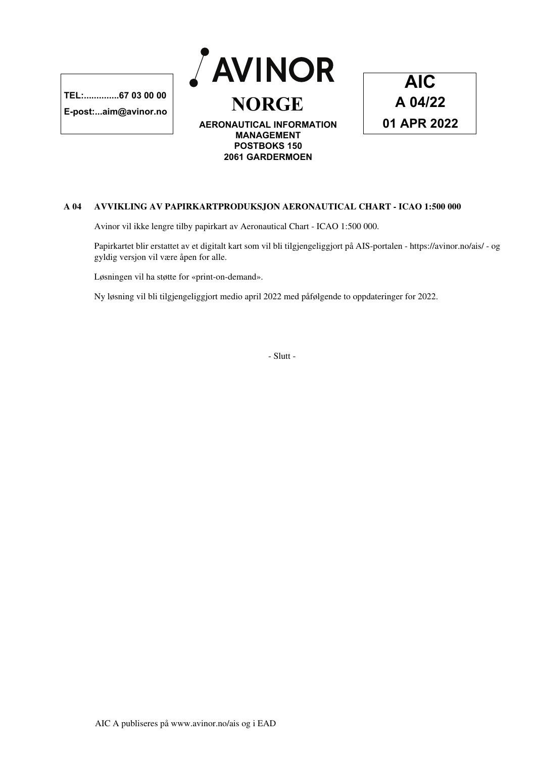**E-post:...aim@avinor.no**





## **A 04 AVVIKLING AV PAPIRKARTPRODUKSJON AERONAUTICAL CHART - ICAO 1:500 000**

Avinor vil ikke lengre tilby papirkart av Aeronautical Chart - ICAO 1:500 000.

Papirkartet blir erstattet av et digitalt kart som vil bli tilgjengeliggjort på AIS-portalen - https://avinor.no/ais/ - og gyldig versjon vil være åpen for alle.

Løsningen vil ha støtte for «print-on-demand».

Ny løsning vil bli tilgjengeliggjort medio april 2022 med påfølgende to oppdateringer for 2022.

- Slutt -